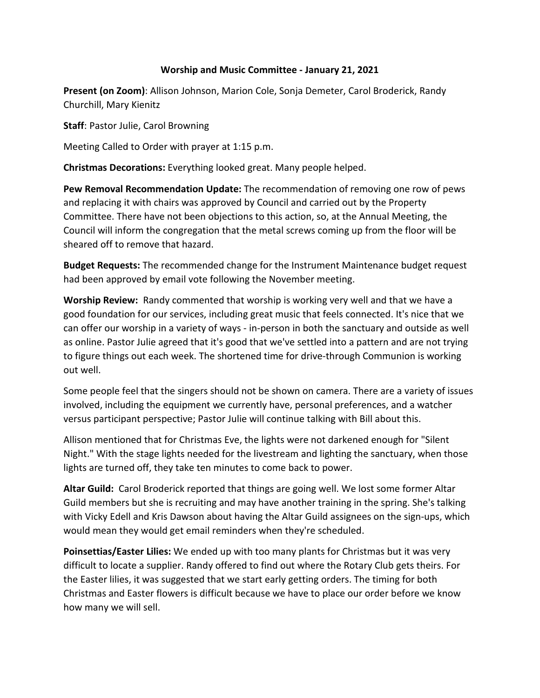## **Worship and Music Committee - January 21, 2021**

**Present (on Zoom)**: Allison Johnson, Marion Cole, Sonja Demeter, Carol Broderick, Randy Churchill, Mary Kienitz

**Staff**: Pastor Julie, Carol Browning

Meeting Called to Order with prayer at 1:15 p.m.

**Christmas Decorations:** Everything looked great. Many people helped.

**Pew Removal Recommendation Update:** The recommendation of removing one row of pews and replacing it with chairs was approved by Council and carried out by the Property Committee. There have not been objections to this action, so, at the Annual Meeting, the Council will inform the congregation that the metal screws coming up from the floor will be sheared off to remove that hazard.

**Budget Requests:** The recommended change for the Instrument Maintenance budget request had been approved by email vote following the November meeting.

**Worship Review:** Randy commented that worship is working very well and that we have a good foundation for our services, including great music that feels connected. It's nice that we can offer our worship in a variety of ways - in-person in both the sanctuary and outside as well as online. Pastor Julie agreed that it's good that we've settled into a pattern and are not trying to figure things out each week. The shortened time for drive-through Communion is working out well.

Some people feel that the singers should not be shown on camera. There are a variety of issues involved, including the equipment we currently have, personal preferences, and a watcher versus participant perspective; Pastor Julie will continue talking with Bill about this.

Allison mentioned that for Christmas Eve, the lights were not darkened enough for "Silent Night." With the stage lights needed for the livestream and lighting the sanctuary, when those lights are turned off, they take ten minutes to come back to power.

**Altar Guild:** Carol Broderick reported that things are going well. We lost some former Altar Guild members but she is recruiting and may have another training in the spring. She's talking with Vicky Edell and Kris Dawson about having the Altar Guild assignees on the sign-ups, which would mean they would get email reminders when they're scheduled.

**Poinsettias/Easter Lilies:** We ended up with too many plants for Christmas but it was very difficult to locate a supplier. Randy offered to find out where the Rotary Club gets theirs. For the Easter lilies, it was suggested that we start early getting orders. The timing for both Christmas and Easter flowers is difficult because we have to place our order before we know how many we will sell.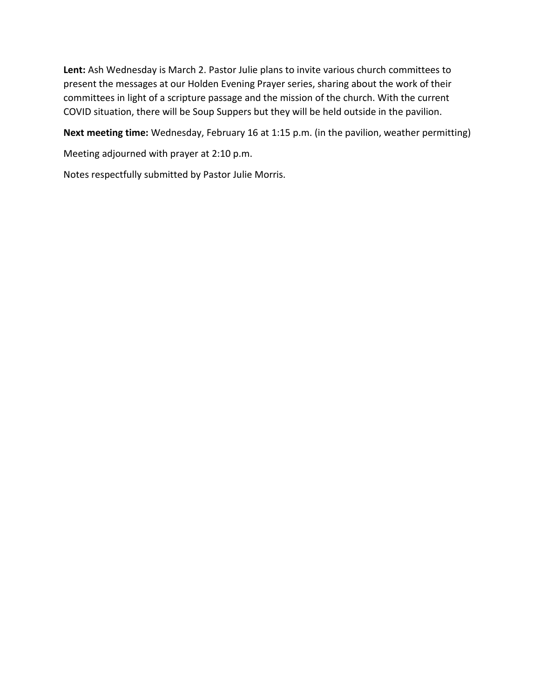**Lent:** Ash Wednesday is March 2. Pastor Julie plans to invite various church committees to present the messages at our Holden Evening Prayer series, sharing about the work of their committees in light of a scripture passage and the mission of the church. With the current COVID situation, there will be Soup Suppers but they will be held outside in the pavilion.

**Next meeting time:** Wednesday, February 16 at 1:15 p.m. (in the pavilion, weather permitting)

Meeting adjourned with prayer at 2:10 p.m.

Notes respectfully submitted by Pastor Julie Morris.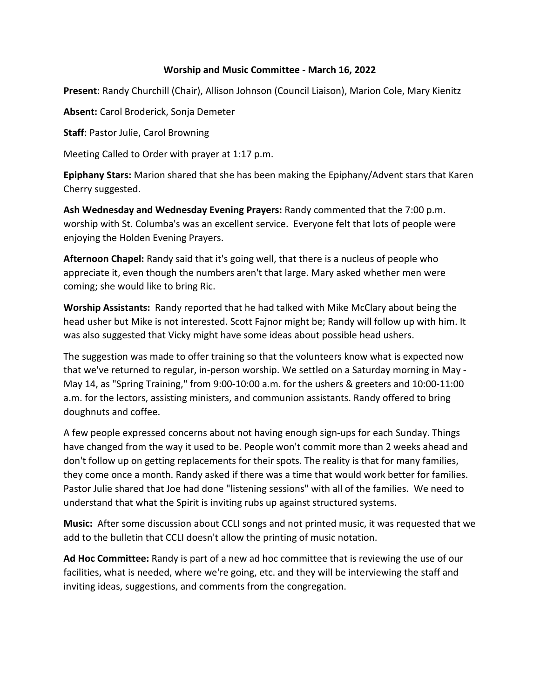## **Worship and Music Committee - March 16, 2022**

**Present**: Randy Churchill (Chair), Allison Johnson (Council Liaison), Marion Cole, Mary Kienitz

**Absent:** Carol Broderick, Sonja Demeter

**Staff**: Pastor Julie, Carol Browning

Meeting Called to Order with prayer at 1:17 p.m.

**Epiphany Stars:** Marion shared that she has been making the Epiphany/Advent stars that Karen Cherry suggested.

**Ash Wednesday and Wednesday Evening Prayers:** Randy commented that the 7:00 p.m. worship with St. Columba's was an excellent service. Everyone felt that lots of people were enjoying the Holden Evening Prayers.

**Afternoon Chapel:** Randy said that it's going well, that there is a nucleus of people who appreciate it, even though the numbers aren't that large. Mary asked whether men were coming; she would like to bring Ric.

**Worship Assistants:** Randy reported that he had talked with Mike McClary about being the head usher but Mike is not interested. Scott Fajnor might be; Randy will follow up with him. It was also suggested that Vicky might have some ideas about possible head ushers.

The suggestion was made to offer training so that the volunteers know what is expected now that we've returned to regular, in-person worship. We settled on a Saturday morning in May - May 14, as "Spring Training," from 9:00-10:00 a.m. for the ushers & greeters and 10:00-11:00 a.m. for the lectors, assisting ministers, and communion assistants. Randy offered to bring doughnuts and coffee.

A few people expressed concerns about not having enough sign-ups for each Sunday. Things have changed from the way it used to be. People won't commit more than 2 weeks ahead and don't follow up on getting replacements for their spots. The reality is that for many families, they come once a month. Randy asked if there was a time that would work better for families. Pastor Julie shared that Joe had done "listening sessions" with all of the families. We need to understand that what the Spirit is inviting rubs up against structured systems.

**Music:** After some discussion about CCLI songs and not printed music, it was requested that we add to the bulletin that CCLI doesn't allow the printing of music notation.

**Ad Hoc Committee:** Randy is part of a new ad hoc committee that is reviewing the use of our facilities, what is needed, where we're going, etc. and they will be interviewing the staff and inviting ideas, suggestions, and comments from the congregation.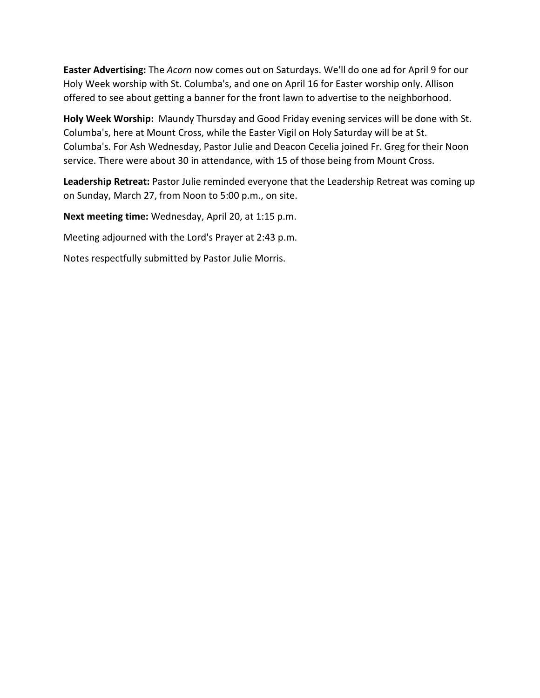**Easter Advertising:** The *Acorn* now comes out on Saturdays. We'll do one ad for April 9 for our Holy Week worship with St. Columba's, and one on April 16 for Easter worship only. Allison offered to see about getting a banner for the front lawn to advertise to the neighborhood.

**Holy Week Worship:** Maundy Thursday and Good Friday evening services will be done with St. Columba's, here at Mount Cross, while the Easter Vigil on Holy Saturday will be at St. Columba's. For Ash Wednesday, Pastor Julie and Deacon Cecelia joined Fr. Greg for their Noon service. There were about 30 in attendance, with 15 of those being from Mount Cross.

**Leadership Retreat:** Pastor Julie reminded everyone that the Leadership Retreat was coming up on Sunday, March 27, from Noon to 5:00 p.m., on site.

**Next meeting time:** Wednesday, April 20, at 1:15 p.m.

Meeting adjourned with the Lord's Prayer at 2:43 p.m.

Notes respectfully submitted by Pastor Julie Morris.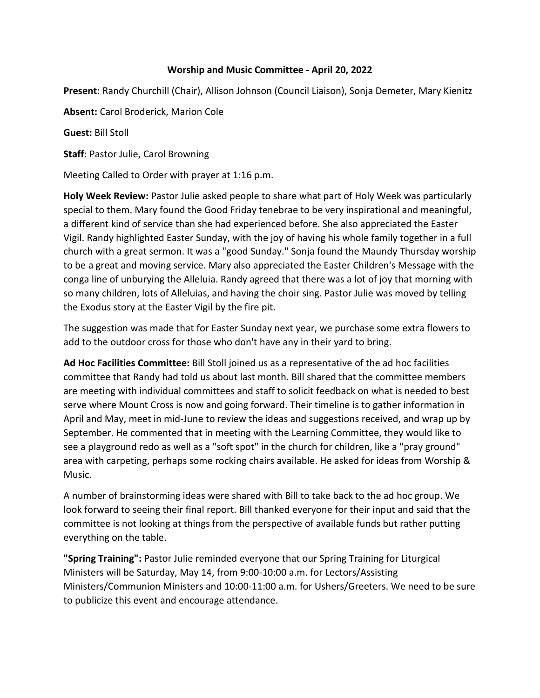## **Worship and Music Committee - April 20, 2022**

**Present**: Randy Churchill (Chair), Allison Johnson (Council Liaison), Sonja Demeter, Mary Kienitz

**Absent:** Carol Broderick, Marion Cole

**Guest:** Bill Stoll

**Staff**: Pastor Julie, Carol Browning

Meeting Called to Order with prayer at 1:16 p.m.

**Holy Week Review:** Pastor Julie asked people to share what part of Holy Week was particularly special to them. Mary found the Good Friday tenebrae to be very inspirational and meaningful, a different kind of service than she had experienced before. She also appreciated the Easter Vigil. Randy highlighted Easter Sunday, with the joy of having his whole family together in a full church with a great sermon. It was a "good Sunday." Sonja found the Maundy Thursday worship to be a great and moving service. Mary also appreciated the Easter Children's Message with the conga line of unburying the Alleluia. Randy agreed that there was a lot of joy that morning with so many children, lots of Alleluias, and having the choir sing. Pastor Julie was moved by telling the Exodus story at the Easter Vigil by the fire pit.

The suggestion was made that for Easter Sunday next year, we purchase some extra flowers to add to the outdoor cross for those who don't have any in their yard to bring.

**Ad Hoc Facilities Committee:** Bill Stoll joined us as a representative of the ad hoc facilities committee that Randy had told us about last month. Bill shared that the committee members are meeting with individual committees and staff to solicit feedback on what is needed to best serve where Mount Cross is now and going forward. Their timeline is to gather information in April and May, meet in mid-June to review the ideas and suggestions received, and wrap up by September. He commented that in meeting with the Learning Committee, they would like to see a playground redo as well as a "soft spot" in the church for children, like a "pray ground" area with carpeting, perhaps some rocking chairs available. He asked for ideas from Worship & Music.

A number of brainstorming ideas were shared with Bill to take back to the ad hoc group. We look forward to seeing their final report. Bill thanked everyone for their input and said that the committee is not looking at things from the perspective of available funds but rather putting everything on the table.

**"Spring Training":** Pastor Julie reminded everyone that our Spring Training for Liturgical Ministers will be Saturday, May 14, from 9:00-10:00 a.m. for Lectors/Assisting Ministers/Communion Ministers and 10:00-11:00 a.m. for Ushers/Greeters. We need to be sure to publicize this event and encourage attendance.